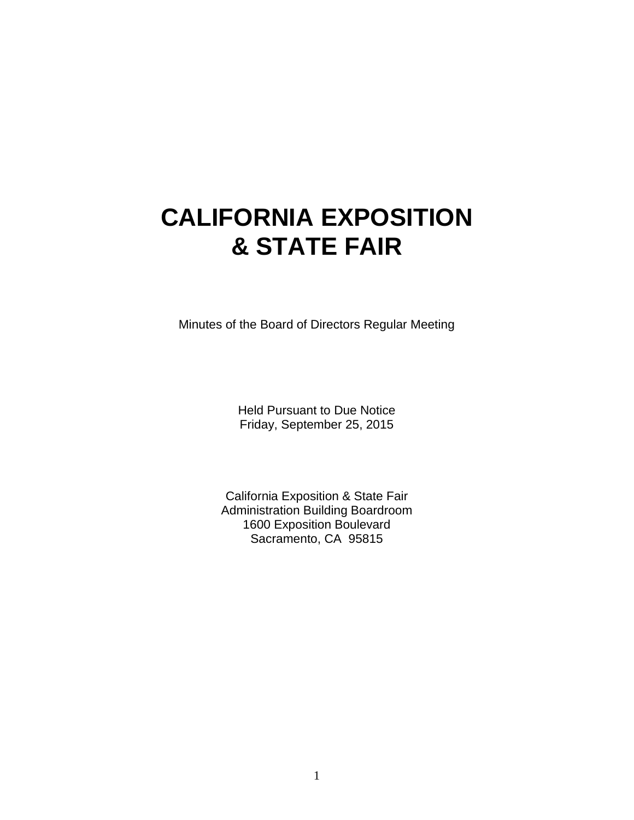# **CALIFORNIA EXPOSITION & STATE FAIR**

Minutes of the Board of Directors Regular Meeting

Held Pursuant to Due Notice Friday, September 25, 2015

California Exposition & State Fair Administration Building Boardroom 1600 Exposition Boulevard Sacramento, CA 95815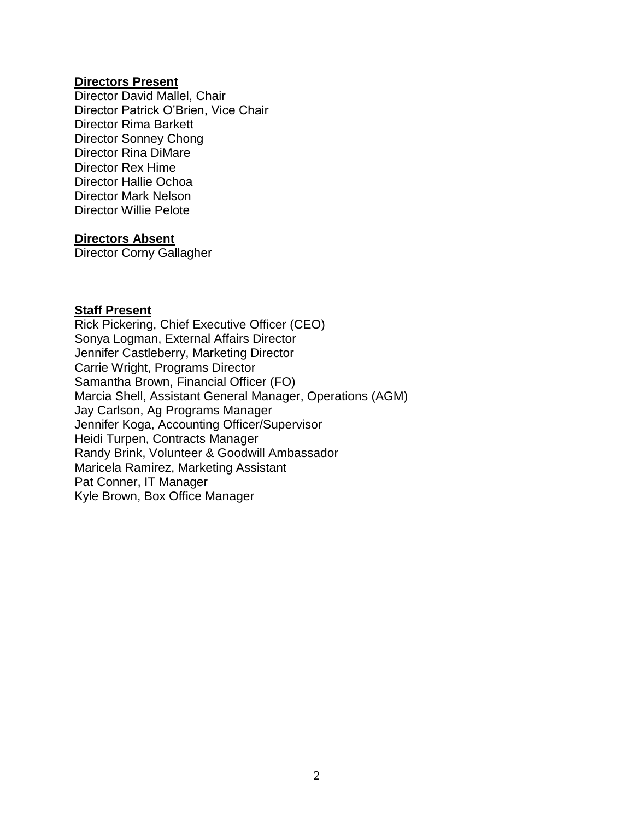#### **Directors Present**

Director David Mallel, Chair Director Patrick O'Brien, Vice Chair Director Rima Barkett Director Sonney Chong Director Rina DiMare Director Rex Hime Director Hallie Ochoa Director Mark Nelson Director Willie Pelote

#### **Directors Absent**

Director Corny Gallagher

#### **Staff Present**

Rick Pickering, Chief Executive Officer (CEO) Sonya Logman, External Affairs Director Jennifer Castleberry, Marketing Director Carrie Wright, Programs Director Samantha Brown, Financial Officer (FO) Marcia Shell, Assistant General Manager, Operations (AGM) Jay Carlson, Ag Programs Manager Jennifer Koga, Accounting Officer/Supervisor Heidi Turpen, Contracts Manager Randy Brink, Volunteer & Goodwill Ambassador Maricela Ramirez, Marketing Assistant Pat Conner, IT Manager Kyle Brown, Box Office Manager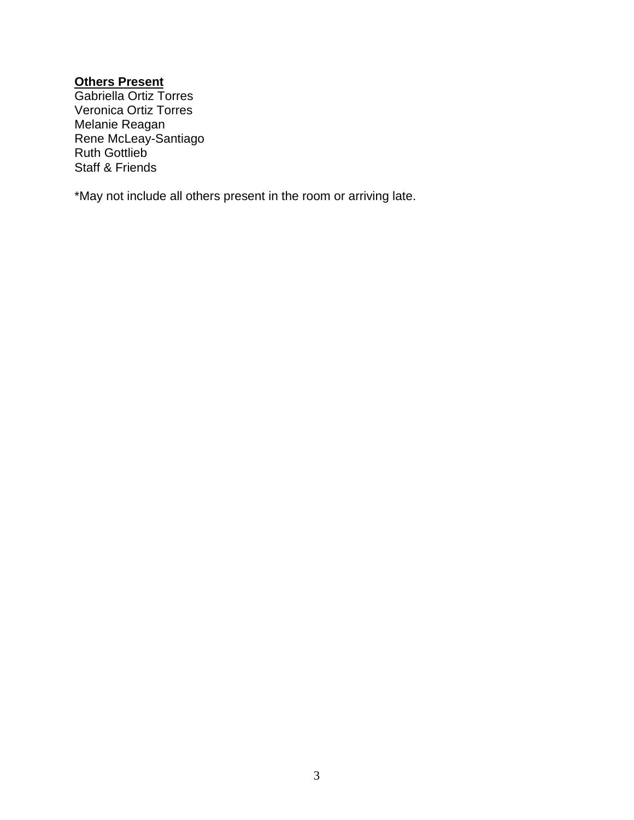#### **Others Present**

Gabriella Ortiz Torres Veronica Ortiz Torres Melanie Reagan Rene McLeay-Santiago Ruth Gottlieb Staff & Friends

\*May not include all others present in the room or arriving late.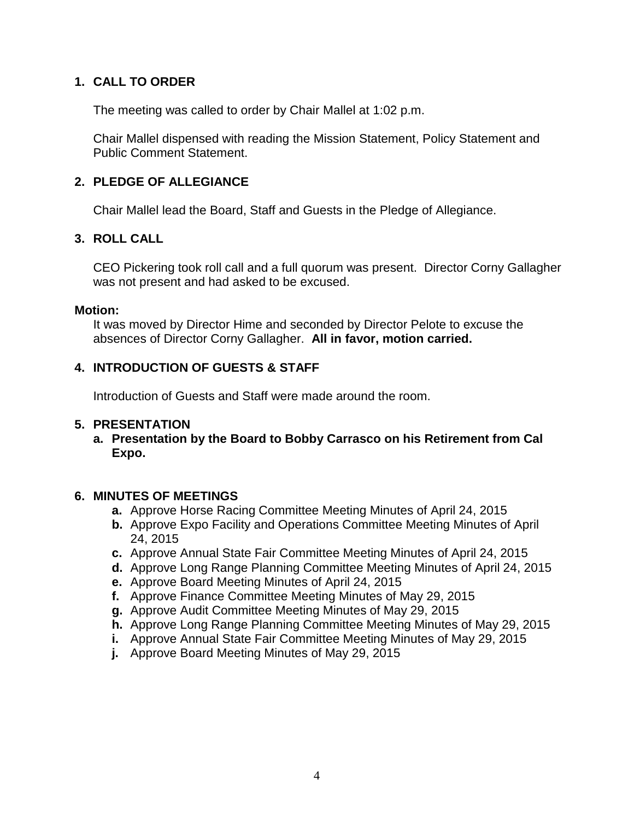# **1. CALL TO ORDER**

The meeting was called to order by Chair Mallel at 1:02 p.m.

Chair Mallel dispensed with reading the Mission Statement, Policy Statement and Public Comment Statement.

## **2. PLEDGE OF ALLEGIANCE**

Chair Mallel lead the Board, Staff and Guests in the Pledge of Allegiance.

## **3. ROLL CALL**

CEO Pickering took roll call and a full quorum was present. Director Corny Gallagher was not present and had asked to be excused.

#### **Motion:**

It was moved by Director Hime and seconded by Director Pelote to excuse the absences of Director Corny Gallagher. **All in favor, motion carried.**

## **4. INTRODUCTION OF GUESTS & STAFF**

Introduction of Guests and Staff were made around the room.

#### **5. PRESENTATION**

**a. Presentation by the Board to Bobby Carrasco on his Retirement from Cal Expo.**

#### **6. MINUTES OF MEETINGS**

- **a.** Approve Horse Racing Committee Meeting Minutes of April 24, 2015
- **b.** Approve Expo Facility and Operations Committee Meeting Minutes of April 24, 2015
- **c.** Approve Annual State Fair Committee Meeting Minutes of April 24, 2015
- **d.** Approve Long Range Planning Committee Meeting Minutes of April 24, 2015
- **e.** Approve Board Meeting Minutes of April 24, 2015
- **f.** Approve Finance Committee Meeting Minutes of May 29, 2015
- **g.** Approve Audit Committee Meeting Minutes of May 29, 2015
- **h.** Approve Long Range Planning Committee Meeting Minutes of May 29, 2015
- **i.** Approve Annual State Fair Committee Meeting Minutes of May 29, 2015
- **j.** Approve Board Meeting Minutes of May 29, 2015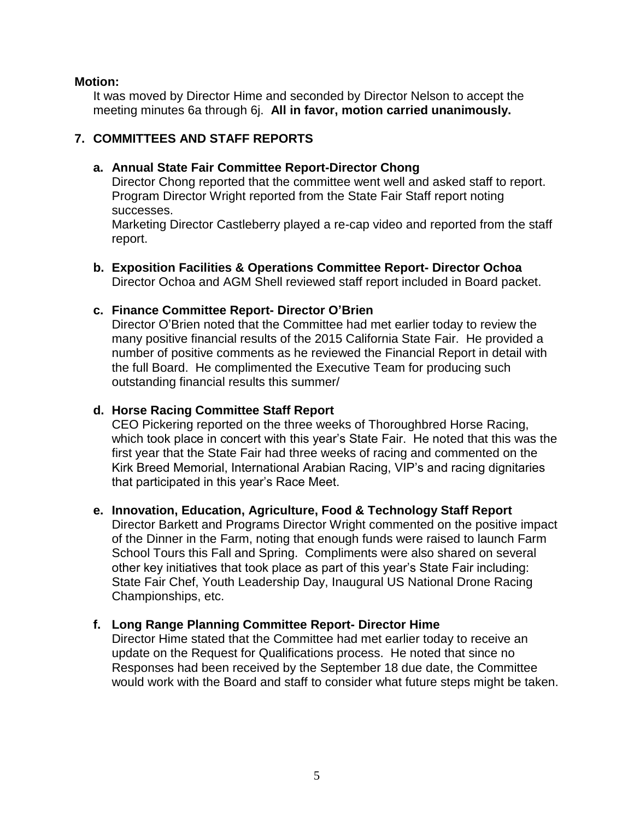#### **Motion:**

It was moved by Director Hime and seconded by Director Nelson to accept the meeting minutes 6a through 6j. **All in favor, motion carried unanimously.**

## **7. COMMITTEES AND STAFF REPORTS**

### **a. Annual State Fair Committee Report-Director Chong**

Director Chong reported that the committee went well and asked staff to report. Program Director Wright reported from the State Fair Staff report noting successes.

Marketing Director Castleberry played a re-cap video and reported from the staff report.

**b. Exposition Facilities & Operations Committee Report- Director Ochoa** Director Ochoa and AGM Shell reviewed staff report included in Board packet.

#### **c. Finance Committee Report- Director O'Brien**

Director O'Brien noted that the Committee had met earlier today to review the many positive financial results of the 2015 California State Fair. He provided a number of positive comments as he reviewed the Financial Report in detail with the full Board. He complimented the Executive Team for producing such outstanding financial results this summer/

#### **d. Horse Racing Committee Staff Report**

CEO Pickering reported on the three weeks of Thoroughbred Horse Racing, which took place in concert with this year's State Fair. He noted that this was the first year that the State Fair had three weeks of racing and commented on the Kirk Breed Memorial, International Arabian Racing, VIP's and racing dignitaries that participated in this year's Race Meet.

#### **e. Innovation, Education, Agriculture, Food & Technology Staff Report**

Director Barkett and Programs Director Wright commented on the positive impact of the Dinner in the Farm, noting that enough funds were raised to launch Farm School Tours this Fall and Spring. Compliments were also shared on several other key initiatives that took place as part of this year's State Fair including: State Fair Chef, Youth Leadership Day, Inaugural US National Drone Racing Championships, etc.

#### **f. Long Range Planning Committee Report- Director Hime**

Director Hime stated that the Committee had met earlier today to receive an update on the Request for Qualifications process. He noted that since no Responses had been received by the September 18 due date, the Committee would work with the Board and staff to consider what future steps might be taken.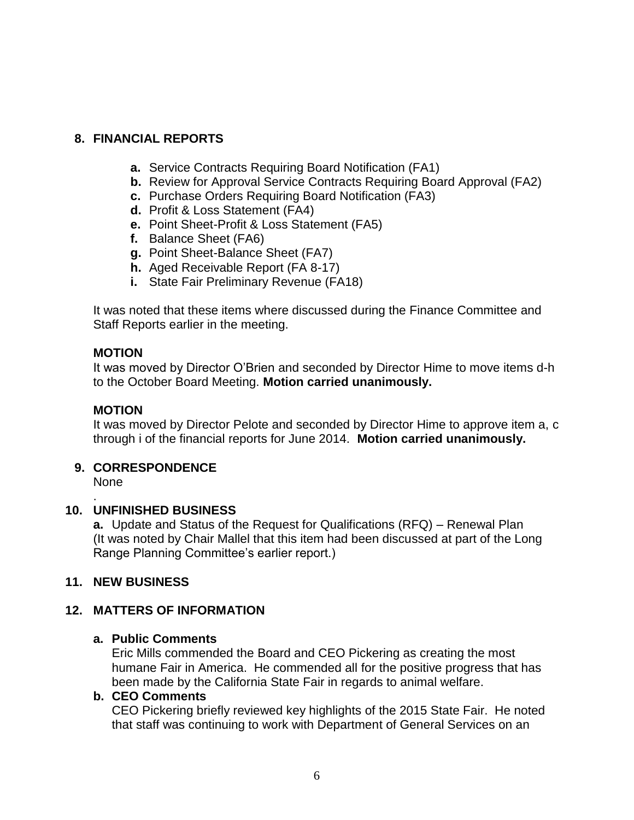# **8. FINANCIAL REPORTS**

- **a.** Service Contracts Requiring Board Notification (FA1)
- **b.** Review for Approval Service Contracts Requiring Board Approval (FA2)
- **c.** Purchase Orders Requiring Board Notification (FA3)
- **d.** Profit & Loss Statement (FA4)
- **e.** Point Sheet-Profit & Loss Statement (FA5)
- **f.** Balance Sheet (FA6)
- **g.** Point Sheet-Balance Sheet (FA7)
- **h.** Aged Receivable Report (FA 8-17)
- **i.** State Fair Preliminary Revenue (FA18)

It was noted that these items where discussed during the Finance Committee and Staff Reports earlier in the meeting.

#### **MOTION**

It was moved by Director O'Brien and seconded by Director Hime to move items d-h to the October Board Meeting. **Motion carried unanimously.**

#### **MOTION**

It was moved by Director Pelote and seconded by Director Hime to approve item a, c through i of the financial reports for June 2014. **Motion carried unanimously.**

#### **9. CORRESPONDENCE**

None

.

#### **10. UNFINISHED BUSINESS**

**a.** Update and Status of the Request for Qualifications (RFQ) – Renewal Plan (It was noted by Chair Mallel that this item had been discussed at part of the Long Range Planning Committee's earlier report.)

#### **11. NEW BUSINESS**

# **12. MATTERS OF INFORMATION**

#### **a. Public Comments**

Eric Mills commended the Board and CEO Pickering as creating the most humane Fair in America. He commended all for the positive progress that has been made by the California State Fair in regards to animal welfare.

#### **b. CEO Comments**

CEO Pickering briefly reviewed key highlights of the 2015 State Fair. He noted that staff was continuing to work with Department of General Services on an